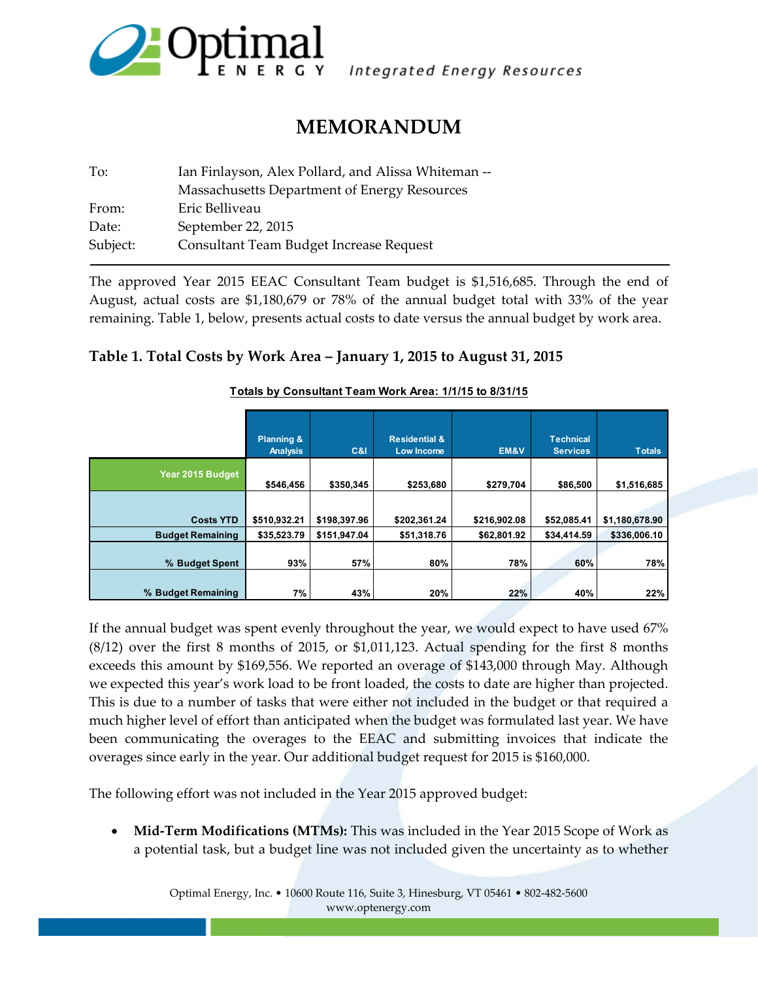

Integrated Energy Resources

# **MEMORANDUM**

| Ian Finlayson, Alex Pollard, and Alissa Whiteman -- |  |  |  |  |
|-----------------------------------------------------|--|--|--|--|
| Massachusetts Department of Energy Resources        |  |  |  |  |
| Eric Belliveau                                      |  |  |  |  |
| September 22, 2015                                  |  |  |  |  |
| Consultant Team Budget Increase Request             |  |  |  |  |
|                                                     |  |  |  |  |

The approved Year 2015 EEAC Consultant Team budget is \$1,516,685. Through the end of August, actual costs are \$1,180,679 or 78% of the annual budget total with 33% of the year remaining. Table 1, below, presents actual costs to date versus the annual budget by work area.

#### **Table 1. Total Costs by Work Area – January 1, 2015 to August 31, 2015**

|                         | <b>Planning &amp;</b><br><b>Analysis</b> | C&I          | <b>Residential &amp;</b><br>Low Income | EM&V         | <b>Technical</b><br><b>Services</b> | <b>Totals</b>  |
|-------------------------|------------------------------------------|--------------|----------------------------------------|--------------|-------------------------------------|----------------|
| Year 2015 Budget        | \$546,456                                | \$350,345    | \$253,680                              | \$279,704    | \$86,500                            | \$1,516,685    |
|                         |                                          |              |                                        |              |                                     |                |
| <b>Costs YTD</b>        | \$510,932.21                             | \$198,397.96 | \$202,361.24                           | \$216,902.08 | \$52,085.41                         | \$1,180,678.90 |
| <b>Budget Remaining</b> | \$35,523.79                              | \$151,947.04 | \$51,318.76                            | \$62,801.92  | \$34,414.59                         | \$336,006.10   |
| % Budget Spent          | 93%                                      | 57%          | 80%                                    | 78%          | 60%                                 | 78%            |
| % Budget Remaining      | 7%                                       | 43%          | 20%                                    | 22%          | 40%                                 | 22%            |

#### **Totals by Consultant Team Work Area: 1/1/15 to 8/31/15**

If the annual budget was spent evenly throughout the year, we would expect to have used 67% (8/12) over the first 8 months of 2015, or \$1,011,123. Actual spending for the first 8 months exceeds this amount by \$169,556. We reported an overage of \$143,000 through May. Although we expected this year's work load to be front loaded, the costs to date are higher than projected. This is due to a number of tasks that were either not included in the budget or that required a much higher level of effort than anticipated when the budget was formulated last year. We have been communicating the overages to the EEAC and submitting invoices that indicate the overages since early in the year. Our additional budget request for 2015 is \$160,000.

The following effort was not included in the Year 2015 approved budget:

 **Mid‐Term Modifications (MTMs):** This was included in the Year 2015 Scope of Work as a potential task, but a budget line was not included given the uncertainty as to whether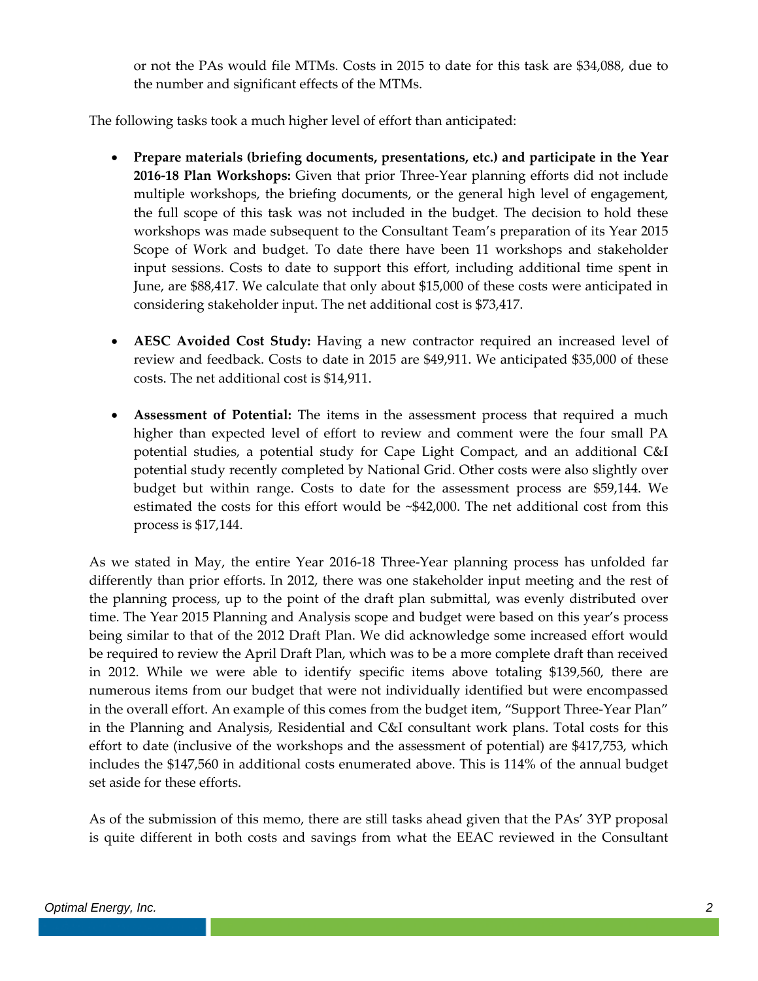or not the PAs would file MTMs. Costs in 2015 to date for this task are \$34,088, due to the number and significant effects of the MTMs.

The following tasks took a much higher level of effort than anticipated:

- **Prepare materials (briefing documents, presentations, etc.) and participate in the Year 2016‐18 Plan Workshops:** Given that prior Three‐Year planning efforts did not include multiple workshops, the briefing documents, or the general high level of engagement, the full scope of this task was not included in the budget. The decision to hold these workshops was made subsequent to the Consultant Team's preparation of its Year 2015 Scope of Work and budget. To date there have been 11 workshops and stakeholder input sessions. Costs to date to support this effort, including additional time spent in June, are \$88,417. We calculate that only about \$15,000 of these costs were anticipated in considering stakeholder input. The net additional cost is \$73,417.
- **AESC Avoided Cost Study:** Having a new contractor required an increased level of review and feedback. Costs to date in 2015 are \$49,911. We anticipated \$35,000 of these costs. The net additional cost is \$14,911.
- **Assessment of Potential:** The items in the assessment process that required a much higher than expected level of effort to review and comment were the four small PA potential studies, a potential study for Cape Light Compact, and an additional C&I potential study recently completed by National Grid. Other costs were also slightly over budget but within range. Costs to date for the assessment process are \$59,144. We estimated the costs for this effort would be ~\$42,000. The net additional cost from this process is \$17,144.

As we stated in May, the entire Year 2016‐18 Three‐Year planning process has unfolded far differently than prior efforts. In 2012, there was one stakeholder input meeting and the rest of the planning process, up to the point of the draft plan submittal, was evenly distributed over time. The Year 2015 Planning and Analysis scope and budget were based on this year's process being similar to that of the 2012 Draft Plan. We did acknowledge some increased effort would be required to review the April Draft Plan, which was to be a more complete draft than received in 2012. While we were able to identify specific items above totaling \$139,560, there are numerous items from our budget that were not individually identified but were encompassed in the overall effort. An example of this comes from the budget item, "Support Three‐Year Plan" in the Planning and Analysis, Residential and C&I consultant work plans. Total costs for this effort to date (inclusive of the workshops and the assessment of potential) are \$417,753, which includes the \$147,560 in additional costs enumerated above. This is 114% of the annual budget set aside for these efforts.

As of the submission of this memo, there are still tasks ahead given that the PAs' 3YP proposal is quite different in both costs and savings from what the EEAC reviewed in the Consultant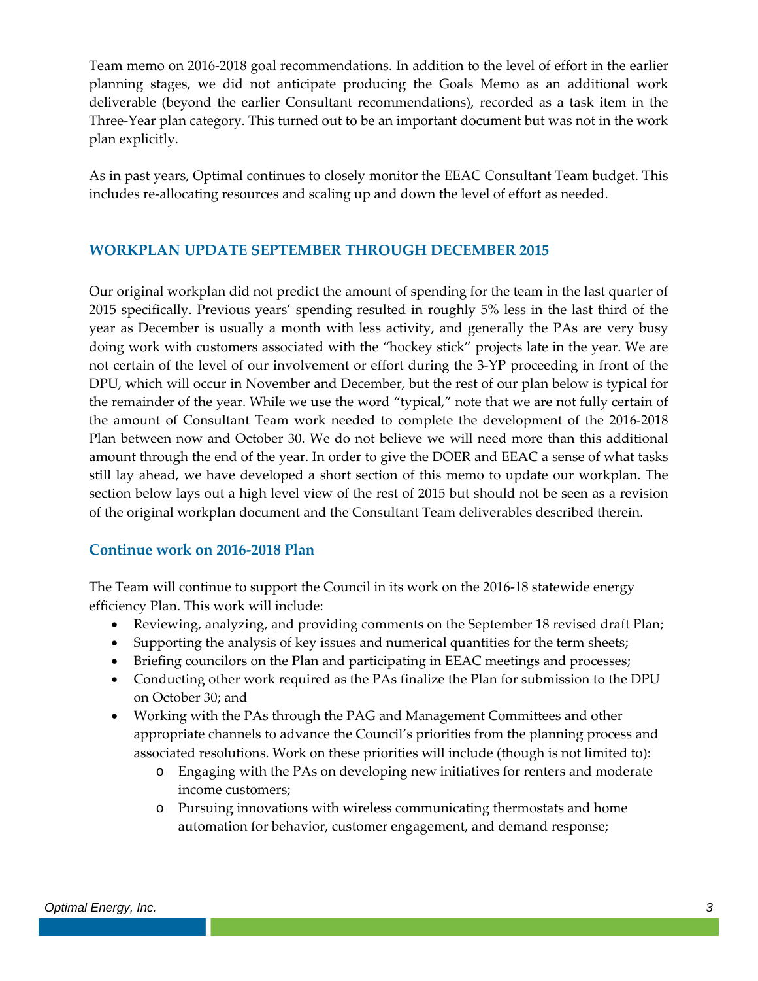Team memo on 2016‐2018 goal recommendations. In addition to the level of effort in the earlier planning stages, we did not anticipate producing the Goals Memo as an additional work deliverable (beyond the earlier Consultant recommendations), recorded as a task item in the Three‐Year plan category. This turned out to be an important document but was not in the work plan explicitly.

As in past years, Optimal continues to closely monitor the EEAC Consultant Team budget. This includes re‐allocating resources and scaling up and down the level of effort as needed.

## **WORKPLAN UPDATE SEPTEMBER THROUGH DECEMBER 2015**

Our original workplan did not predict the amount of spending for the team in the last quarter of 2015 specifically. Previous years' spending resulted in roughly 5% less in the last third of the year as December is usually a month with less activity, and generally the PAs are very busy doing work with customers associated with the "hockey stick" projects late in the year. We are not certain of the level of our involvement or effort during the 3‐YP proceeding in front of the DPU, which will occur in November and December, but the rest of our plan below is typical for the remainder of the year. While we use the word "typical," note that we are not fully certain of the amount of Consultant Team work needed to complete the development of the 2016‐2018 Plan between now and October 30. We do not believe we will need more than this additional amount through the end of the year. In order to give the DOER and EEAC a sense of what tasks still lay ahead, we have developed a short section of this memo to update our workplan. The section below lays out a high level view of the rest of 2015 but should not be seen as a revision of the original workplan document and the Consultant Team deliverables described therein.

## **Continue work on 2016‐2018 Plan**

The Team will continue to support the Council in its work on the 2016‐18 statewide energy efficiency Plan. This work will include:

- Reviewing, analyzing, and providing comments on the September 18 revised draft Plan;
- Supporting the analysis of key issues and numerical quantities for the term sheets;
- Briefing councilors on the Plan and participating in EEAC meetings and processes;
- Conducting other work required as the PAs finalize the Plan for submission to the DPU on October 30; and
- Working with the PAs through the PAG and Management Committees and other appropriate channels to advance the Council's priorities from the planning process and associated resolutions. Work on these priorities will include (though is not limited to):
	- o Engaging with the PAs on developing new initiatives for renters and moderate income customers;
	- o Pursuing innovations with wireless communicating thermostats and home automation for behavior, customer engagement, and demand response;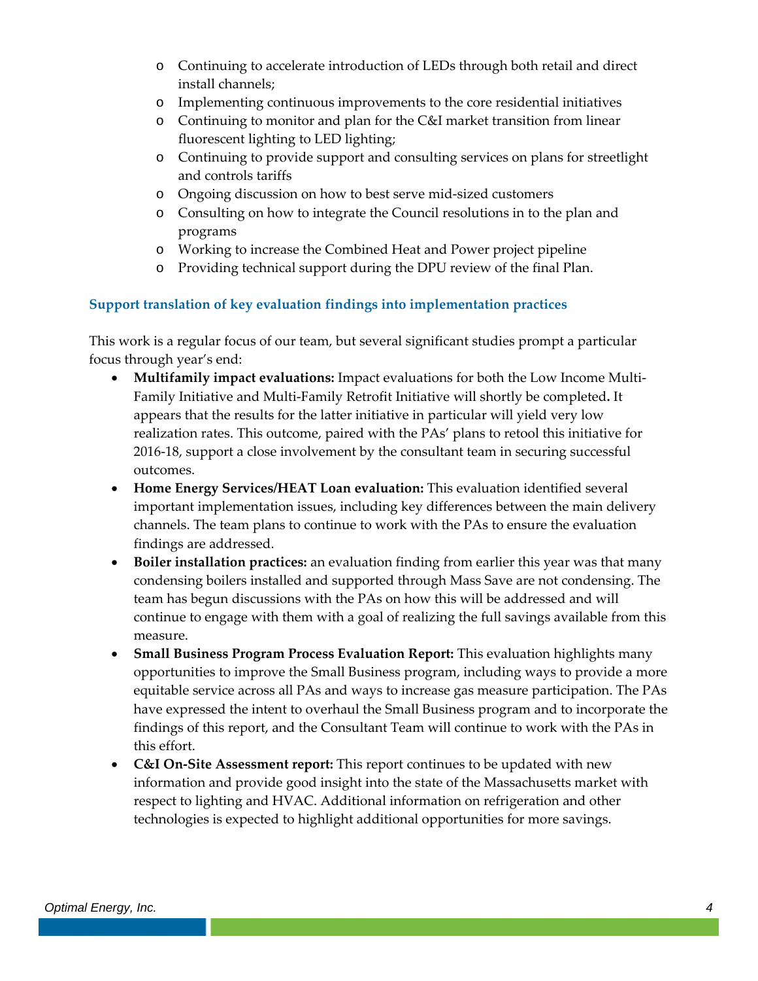- o Continuing to accelerate introduction of LEDs through both retail and direct install channels;
- o Implementing continuous improvements to the core residential initiatives
- o Continuing to monitor and plan for the C&I market transition from linear fluorescent lighting to LED lighting;
- o Continuing to provide support and consulting services on plans for streetlight and controls tariffs
- o Ongoing discussion on how to best serve mid‐sized customers
- o Consulting on how to integrate the Council resolutions in to the plan and programs
- o Working to increase the Combined Heat and Power project pipeline
- o Providing technical support during the DPU review of the final Plan.

#### **Support translation of key evaluation findings into implementation practices**

This work is a regular focus of our team, but several significant studies prompt a particular focus through year's end:

- **Multifamily impact evaluations:** Impact evaluations for both the Low Income Multi‐ Family Initiative and Multi‐Family Retrofit Initiative will shortly be completed**.** It appears that the results for the latter initiative in particular will yield very low realization rates. This outcome, paired with the PAs' plans to retool this initiative for 2016‐18, support a close involvement by the consultant team in securing successful outcomes.
- **Home Energy Services/HEAT Loan evaluation:** This evaluation identified several important implementation issues, including key differences between the main delivery channels. The team plans to continue to work with the PAs to ensure the evaluation findings are addressed.
- **Boiler installation practices:** an evaluation finding from earlier this year was that many condensing boilers installed and supported through Mass Save are not condensing. The team has begun discussions with the PAs on how this will be addressed and will continue to engage with them with a goal of realizing the full savings available from this measure.
- **Small Business Program Process Evaluation Report:** This evaluation highlights many opportunities to improve the Small Business program, including ways to provide a more equitable service across all PAs and ways to increase gas measure participation. The PAs have expressed the intent to overhaul the Small Business program and to incorporate the findings of this report, and the Consultant Team will continue to work with the PAs in this effort.
- **C&I On‐Site Assessment report:** This report continues to be updated with new information and provide good insight into the state of the Massachusetts market with respect to lighting and HVAC. Additional information on refrigeration and other technologies is expected to highlight additional opportunities for more savings.